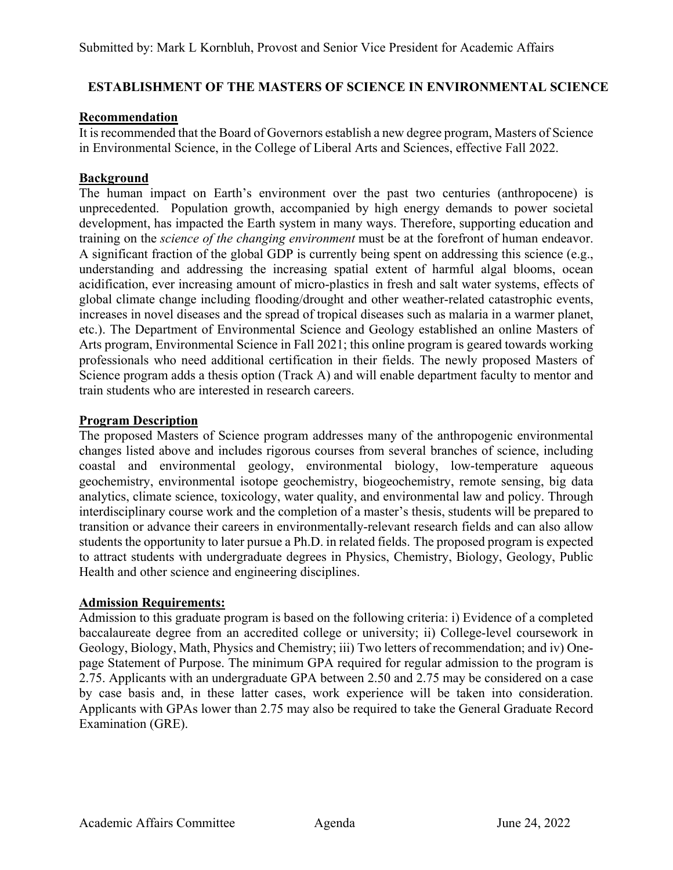# **ESTABLISHMENT OF THE MASTERS OF SCIENCE IN ENVIRONMENTAL SCIENCE**

## **Recommendation**

It is recommended that the Board of Governors establish a new degree program, Masters of Science in Environmental Science, in the College of Liberal Arts and Sciences, effective Fall 2022.

## **Background**

The human impact on Earth's environment over the past two centuries (anthropocene) is unprecedented. Population growth, accompanied by high energy demands to power societal development, has impacted the Earth system in many ways. Therefore, supporting education and training on the *science of the changing environment* must be at the forefront of human endeavor. A significant fraction of the global GDP is currently being spent on addressing this science (e.g., understanding and addressing the increasing spatial extent of harmful algal blooms, ocean acidification, ever increasing amount of micro-plastics in fresh and salt water systems, effects of global climate change including flooding/drought and other weather-related catastrophic events, increases in novel diseases and the spread of tropical diseases such as malaria in a warmer planet, etc.). The Department of Environmental Science and Geology established an online Masters of Arts program, Environmental Science in Fall 2021; this online program is geared towards working professionals who need additional certification in their fields. The newly proposed Masters of Science program adds a thesis option (Track A) and will enable department faculty to mentor and train students who are interested in research careers.

## **Program Description**

The proposed Masters of Science program addresses many of the anthropogenic environmental changes listed above and includes rigorous courses from several branches of science, including coastal and environmental geology, environmental biology, low-temperature aqueous geochemistry, environmental isotope geochemistry, biogeochemistry, remote sensing, big data analytics, climate science, toxicology, water quality, and environmental law and policy. Through interdisciplinary course work and the completion of a master's thesis, students will be prepared to transition or advance their careers in environmentally-relevant research fields and can also allow students the opportunity to later pursue a Ph.D. in related fields. The proposed program is expected to attract students with undergraduate degrees in Physics, Chemistry, Biology, Geology, Public Health and other science and engineering disciplines.

## **Admission Requirements:**

Admission to this graduate program is based on the following criteria: i) Evidence of a completed baccalaureate degree from an accredited college or university; ii) College-level coursework in Geology, Biology, Math, Physics and Chemistry; iii) Two letters of recommendation; and iv) Onepage Statement of Purpose. The minimum GPA required for regular admission to the program is 2.75. Applicants with an undergraduate GPA between 2.50 and 2.75 may be considered on a case by case basis and, in these latter cases, work experience will be taken into consideration. Applicants with GPAs lower than 2.75 may also be required to take the General Graduate Record Examination (GRE).